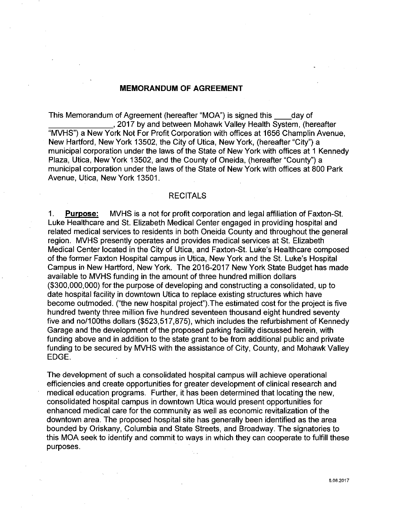## **MEMORANDUM OF AGREEMENT**

This Memorandum of Agreement (hereafter "MOA") is signed this \_\_ day of . 2017 by and between Mohawk Valley Health System, (hereafter "MVHS") a New York Not For Profit Corporation with offices at 1656 Champlin Avenue, New Hartford, New York 13502, the City of Utica, New York, (hereafter "City") a municipal corporation under the laws of the State of New York with offices at 1 Kennedy Plaza, Utica, New York 13502, and the County of Oneida, (hereafter "County") a municipal corporation under the laws of the State of New York with offices at 800 Park Avenue, Utica, New York 13501.

#### RECITALS

1. **Purpose:** MVHS is a not for profit corporation and legal affiliation of Faxton-St. Luke Healthcare and St. Elizabeth Medical Center engaged in providing hospital and related medical services to residents in both Oneida County and throughout the general region. MVHS presently operates and provides medical services at St. Elizabeth Medical Center located in the City of Utica, and Faxton-St. Luke's Healthcare composed of the former Faxton Hospital campus in Utica, New York and the St. Luke's Hospital Campus in New Hartford, New York. The 2016-2017 New York State Budget has made available to MVHS funding in the amount of three hundred million dollars (\$300,000,000) for the purpose of developing and constructing a consolidated, up to date hospital facility in downtown Utica to replace existing structures which have become outmoded. ("the new hospital project") .The estimated cost for the project is five hundred twenty three million five hundred seventeen thousand eight hundred seventy five and no/100ths dollars (\$523,517,875), which includes the refurbishment of Kennedy Garage and the development of the proposed parking facility discussed herein, with funding above and in addition to the state grant to be from additional public and private funding to be secured by MVHS with the assistance of City, County, and Mohawk Valley EDGE.

The development of such a consolidated hospital campus will achieve operational efficiencies and create opportunities for greater development of clinical research and medical education programs. Further, it has been determined that locating the new, consolidated hospital campus in downtown Utica would present opportunities for enhanced medical care for the community as well as economic revitalization of the downtown area. The proposed hospital site has generally been identified as the area bounded by Oriskany, Columbia and State Streets, and Broadway. The signatories to this MOA seek to identify and commit to ways in which they can cooperate to fulfill these purposes.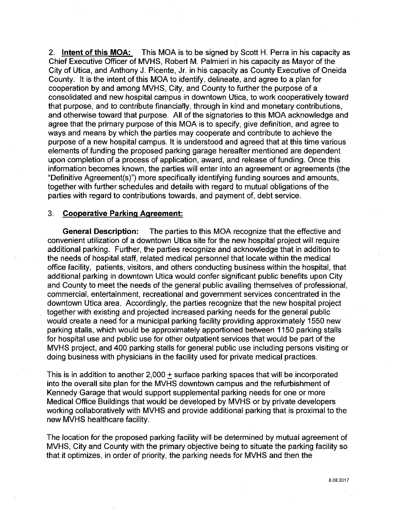2. **Intent of this MOA:** This MOA is to be signed by Scott H. Perra in his capacity as Chief Executive Officer of MVHS, Robert M. Palmieri in his capacity as Mayor of the City of Utica, and Anthony J. Picente, Jr. in his capacity as County Executive of Oneida County. It is the intent of this MOA to identify, delineate, and agree to a plan for cooperation by and among MVHS, City, and County to further the purpose of a consolidated and new hospital campus in downtown Utica, to work cooperatively toward that purpose, and to contribute financially, through in kind and monetary contributions, and otherwise toward that purpose. All of the signatories to this MOA acknowledge and agree that the primary purpose of this MOA is to specify, give definition, and agree to ways and means by which the parties may cooperate and contribute to achieve the purpose of a new hospital campus. It is understood and agreed that at this time various elements of funding the proposed parking garage hereafter mentioned are dependent upon completion of a process of application, award, and release of funding. Once this information becomes known, the parties will enter into an agreement or agreements (the "Definitive Agreement(s)") more specifically identifying funding sources and amounts, together with further schedules and details with regard to mutual obligations of the parties with regard to contributions towards, and payment of, debt service.

#### 3. **Cooperative Parking Agreement:**

**General Description:** The parties to this MOA recognize that the effective and convenient utilization of a downtown Utica site for the new hospital project will require additional parking. Further, the parties recognize and acknowledge that in addition to the needs of hospital staff, related medical personnel that locate within the medical office facility, patients, visitors, and others conducting business within the hospital, that additional parking in downtown Utica would confer significant public benefits upon City and County to meet the needs of the general public availing themselves of professional, commercial, entertainment, recreational and government services concentrated in the downtown Utica area. Accordingly, the parties recognize that the new hospital project together with existing and projected increased parking needs for the general public would create a need for a municipal parking facility providing approximately 1550 new parking stalls, which would be approximately apportioned between 1150 parking stalls for hospital use and public use for other outpatient services that would be part of the MVHS project, and 400 parking stalls for general public use including persons visiting or doing business with physicians in the facility used for private medical practices.

This is in addition to another  $2,000 + \text{surface}$  parking spaces that will be incorporated into the overall site plan for the MVHS downtown campus and the refurbishment of Kennedy Garage that would support supplemental parking needs for one or more Medical Office Buildings that would be developed by MVHS or by private developers working collaboratively with MVHS and provide additional parking that is proximal to the new MVHS healthcare facility.

The location for the proposed parking facility will be determined by mutual agreement of MVHS, City and County with the primary objective being to situate the parking facility so that it optimizes, in order of priority, the parking needs for MVHS and then the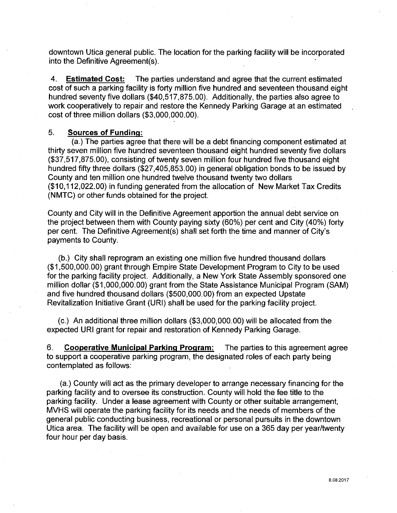downtown Utica general public. The location for the parking facility will be incorporated into the Definitive Agreement(s).

4. **Estimated Cost:** The parties understand and agree that the current estimated cost of such a parking facility is forty million five hundred and seventeen thousand eight hundred seventy five dollars (\$40,517,875.00). Additionally, the parties also agree to work cooperatively to repair and restore the Kennedy Parking Garage at an estimated cost of three million dollars (\$3,000,000.00).

#### 5. **Sources of Funding:**

(a.) The parties agree that there will be a debt financing component estimated at thirty seven million five hundred seventeen thousand eight hundred seventy five dollars (\$37,517,875.00), consisting of twenty seven million four hundred five thousand eight hundred fifty three dollars (\$27,405,853.00) in general obligation bonds to be issued by County and ten million one hundred twelve thousand twenty two dollars (\$1 0, 112,022.00) in funding generated from the allocation of New Market Tax Credits (NMTC) or other funds obtained for the project.

County and City will in the Definitive Agreement apportion the annual debt service on the project between them with County paying sixty (60%) per cent and City (40%) forty per cent. The Definitive Agreement(s) shall set forth the time and manner of City's payments to County.

(b.) City shall reprogram an existing one million five hundred thousand dollars (\$1 ,500,000.00) grant through Empire State Development Program to City to be used for the parking facility project. Additionally, a New York State Assembly sponsored one million dollar (\$1,000,000.00) grant from the State Assistance Municipal Program (SAM) and five hundred thousand dollars (\$500,000.00) from an expected Upstate Revitalization Initiative Grant (URI) shall be used for the parking facility project.

(c.) An additional three million dollars (\$3,000,000.00) will be allocated from the expected URI grant for repair and restoration of Kennedy Parking Garage.

6. **Cooperative Municipal Parking Program:** The parties to this agreement agree to support a cooperative parking program, the designated roles of each party being contemplated as follows:

(a.) County will act as the primary developer to arrange necessary financing for the parking facility and to oversee its construction. County will hold the fee title to the parking facility. Under a lease agreement with County or other suitable arrangement, MVHS will operate the parking facility for its needs and the needs of members of the general public conducting business, recreational or personal pursuits in the downtown Utica area. The facility will be open and available for use on a 365 day per year/twenty four hour per day basis.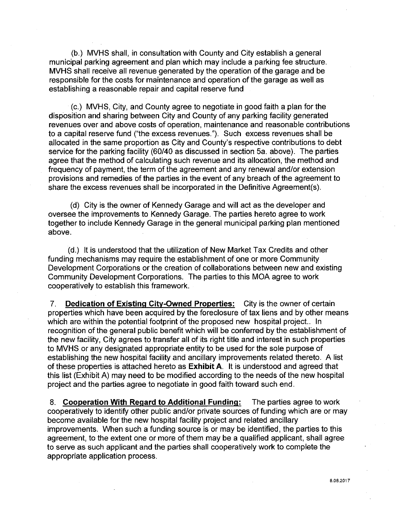(b.) MVHS shall, in consultation with County and City establish a general municipal parking agreement and plan which may include a parking fee structure. MVHS shall receive all revenue generated by the operation of the garage and be responsible for the costs for maintenance and operation of the garage as well as establishing a reasonable repair and capital reserve fund

(c.) MVHS, City, and County agree to negotiate in good faith a plan for the disposition and sharing between City and County of any parking facility generated revenues over and above costs of operation, maintenance and reasonable contributions to a capital reserve fund ("the excess revenues."). Such excess revenues shall be allocated in the same proportion as City and County's respective contributions to debt service for the parking facility (60/40 as discussed in section 5a. above). The parties agree that the method of calculating such revenue and its allocation, the method and frequency of payment, the term of the agreement and any renewal and/or extension provisions and remedies of the parties in the event of any breach of the agreement to share the excess revenues shall be incorporated in the Definitive Agreement(s).

(d) City is the owner of Kennedy Garage and will act as the developer and oversee the improvements to Kennedy Garage. The parties hereto agree to work together to include Kennedy Garage in the general municipal parking plan mentioned above.

(d.) It is understood that the utilization of New Market Tax Credits and other funding mechanisms may require the establishment of one or more Community Development Corporations or the creation of collaborations between new and existing Community Development Corporations. The parties to this MOA agree to work cooperatively to establish this framework.

7. **Dedication of Existing City-Owned Properties:** City is the owner of certain properties which have been acquired by the foreclosure of tax liens and by other means which are within the potential footprint of the proposed new hospital project.. In recognition of the general public benefit which will be conferred by the establishment of the new facility, City agrees to transfer all of its right title and interest in such properties to MVHS or any designated appropriate entity to be used for the sole purpose of establishing the new hospital facility and ancillary improvements related thereto. A list of these properties is attached hereto as **Exhibit A.** It is understood and agreed that this list (Exhibit A) may need to be modified according to the needs of the new hospital project and the parties agree to negotiate in good faith toward such end.

8. **Cooperation With Regard to Additional Funding:** The parties agree to work cooperatively to identify other public and/or private sources of funding which are or may become available for the new hospital facility project and related ancillary improvements. When such a funding source is or may be identified, the parties to this agreement, to the extent one or more of them may be a qualified applicant, shall agree to serve as such applicant and the parties shall cooperatively work to complete the appropriate application process.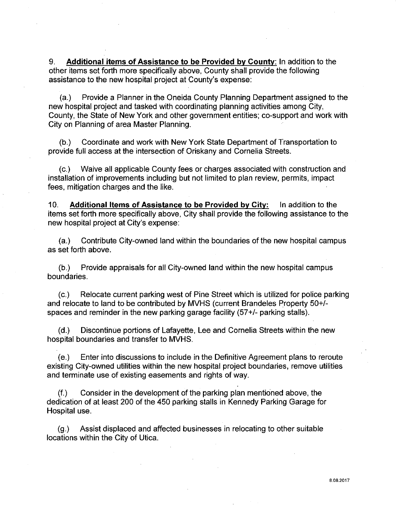9. **Additional items of Assistance to be Provided by County:** In addition to the other items set forth more specifically above, County shall provide the following assistance to the new hospital project at County's expense:

(a.) Provide a Planner in the Oneida County Planning Department assigned to the new hospital project and tasked with coordinating planning activities among City, County, the State of New York and other government entities; co-support and work with City on Planning of area Master Planning.

{b.) Coordinate and work with New York State Department of Transportation to provide full access at the intersection of Oriskany and Cornelia Streets.

(c.) Waive all applicable County fees or charges associated with construction and installation of improvements including but not limited to plan review, permits, impact fees, mitigation charges and the like.

10. **Additional Items of Assistance to be Provided by City:** In addition to the items set forth more specifically above, City shall provide the following assistance to the new hospital project at City's expense:

(a.) Contribute City-owned land within the boundaries of the new hospital campus as set forth above.

{b.) Provide appraisals for all City-owned land within the new hospital campus boundaries.

(c.) Relocate current parking west of Pine Street which is utilized for police parking and relocate to land to be contributed by MVHS (current Brandeles Property 50+/ spaces and reminder in the new parking garage facility (57+/- parking stalls).

(d.) Discontinue portions of Lafayette, Lee and Cornelia Streets within the new hospital boundaries and transfer to MVHS.

(e.) Enter into discussions to include in the Definitive Agreement plans to reroute existing City-owned utilities within the new hospital project boundaries, remove utilities and terminate use of existing easements and rights of way.

(f.) Consider in the development of the parking plan mentioned above, the dedication of at least 200 of the 450 parking stalls in Kennedy Parking Garage for Hospital use.

(g.) Assist displaced and affected businesses in relocating to other suitable locations within the City of Utica.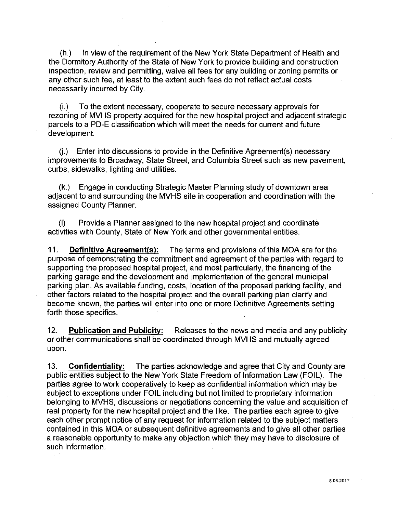(h.) In view of the requirement of the New York State Department of Health and the Dormitory Authority of the State of New York to provide building and construction inspection, review and permitting, waive all fees for any building or zoning permits or any other such fee, at least to the extent such fees do not reflect actual costs necessarily incurred by City.

(i.) To the extent necessary, cooperate to secure necessary approvals for rezoning of MVHS property acquired for the new hospital project and adjacent strategic parcels to a PD-E classification which will meet the needs for current and future development.

 $(i)$  Enter into discussions to provide in the Definitive Agreement(s) necessary improvements to Broadway, State Street, and Columbia Street such as new pavement, curbs, sidewalks, lighting and utilities.

(k.) Engage in conducting Strategic Master Planning study of downtown area adjacent to and surrounding the MVHS site in cooperation and coordination with the assigned County Planner.

(I) Provide a Planner assigned to the new hospital project and coordinate activities with County, State of New York and other governmental entities.

11. **Definitive Agreement(s):** The terms and provisions of this MOA are for the purpose of demonstrating the commitment and agreement of the parties with regard to supporting the proposed hospital project, and most particularly, the financing of the parking garage and the development and implementation of the general municipal parking plan. As available funding, costs, location of the proposed parking facility, and other factors related to the hospital project and the overall parking plan clarify and become known, the parties will enter into one or more Definitive Agreements setting forth those specifics.

12. **Publication and Publicitv:** Releases to the news and media and any publicity or other communications shall be coordinated through MVHS and mutually agreed upon.

13. **Confidentialitv:** The parties acknowledge and agree that City and County are public entities subject to the New York State Freedom of Information Law (FOIL). The parties agree to work cooperatively to keep as confidential information which may be subject to exceptions under FOIL including but not limited to proprietary information belonging to MVHS, discussions or negotiations concerning the value and acquisition of real property for the new hospital project and the like. The parties each agree to give each other prompt notice of any request for information related to the subject matters contained in this MOA or subsequent definitive agreements and to give all other parties a reasonable opportunity to make any objection which they may have to disclosure of such information.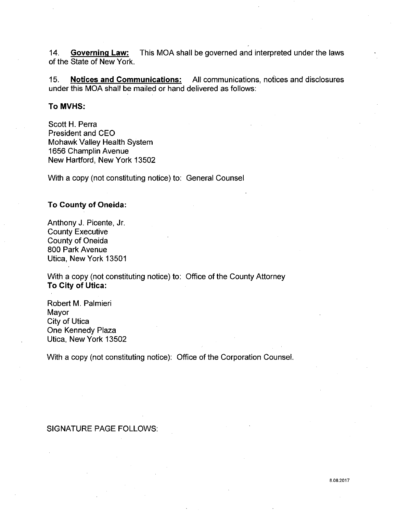14. **Governing Law:** This MOA shall be governed and interpreted under the laws of the State of New York.

15. **Notices and Communications:** All communications, notices and disclosures under this MOA shall be mailed or hand delivered as follows:

#### **To MVHS:**

Scott **H.** Perra President and CEO Mohawk Valley Health System 1656 Champlin Avenue New Hartford, New York 13502

With a copy (not constituting notice) to: General Counsel

### **To County of Oneida:**

Anthony **J.** Picente, Jr. County Executive County of Oneida 800 Park Avenue Utica, New York 13501

With a copy (not constituting notice) to: Office of the County Attorney **To City of Utica:** 

Robert **M.** Palmieri Mayor City of Utica One Kennedy Plaza Utica, New York 13502

With a copy (not constituting notice): Office of the Corporation Counsel.

## SIGNATURE PAGE FOLLOWS: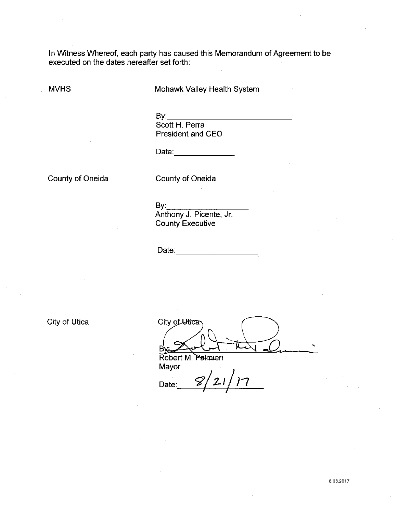In Witness Whereof, each party has caused this Memorandum of Agreement to be executed on the dates hereafter set forth:

MVHS

Mohawk Valley Health System

By:-----:--:---::::----------- Scott H. Perra President and CEO

Date:

County of Oneida

County of Oneida

By:-:---:--::-:---:----:--- Anthony J. Picente, Jr. County Executive

Date:\_\_\_\_\_\_\_\_\_\_\_\_\_\_\_\_\_\_\_\_\_

City of Utica

City of Utica '

Robert M. Palmieri Mayor

Date:  $\frac{8}{21/7}$